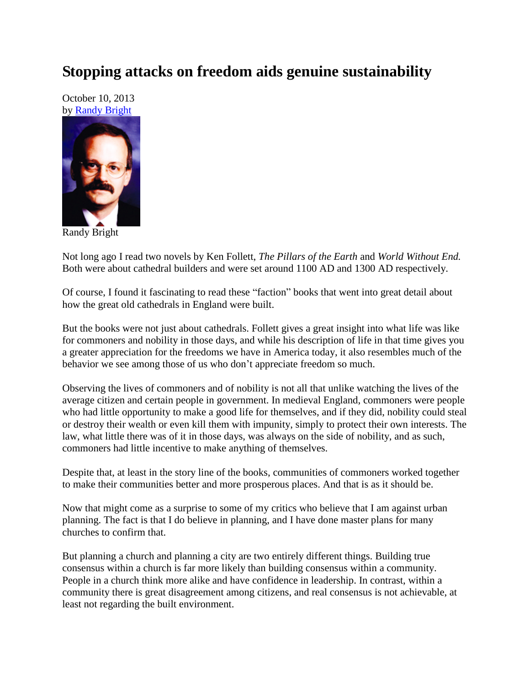## **Stopping attacks on freedom aids genuine sustainability**

October 10, 2013 by [Randy Bright](http://tulsabeacon.com/writers/randy-bright/)



Randy Bright

Not long ago I read two novels by Ken Follett, *The Pillars of the Earth* and *World Without End.* Both were about cathedral builders and were set around 1100 AD and 1300 AD respectively.

Of course, I found it fascinating to read these "faction" books that went into great detail about how the great old cathedrals in England were built.

But the books were not just about cathedrals. Follett gives a great insight into what life was like for commoners and nobility in those days, and while his description of life in that time gives you a greater appreciation for the freedoms we have in America today, it also resembles much of the behavior we see among those of us who don't appreciate freedom so much.

Observing the lives of commoners and of nobility is not all that unlike watching the lives of the average citizen and certain people in government. In medieval England, commoners were people who had little opportunity to make a good life for themselves, and if they did, nobility could steal or destroy their wealth or even kill them with impunity, simply to protect their own interests. The law, what little there was of it in those days, was always on the side of nobility, and as such, commoners had little incentive to make anything of themselves.

Despite that, at least in the story line of the books, communities of commoners worked together to make their communities better and more prosperous places. And that is as it should be.

Now that might come as a surprise to some of my critics who believe that I am against urban planning. The fact is that I do believe in planning, and I have done master plans for many churches to confirm that.

But planning a church and planning a city are two entirely different things. Building true consensus within a church is far more likely than building consensus within a community. People in a church think more alike and have confidence in leadership. In contrast, within a community there is great disagreement among citizens, and real consensus is not achievable, at least not regarding the built environment.